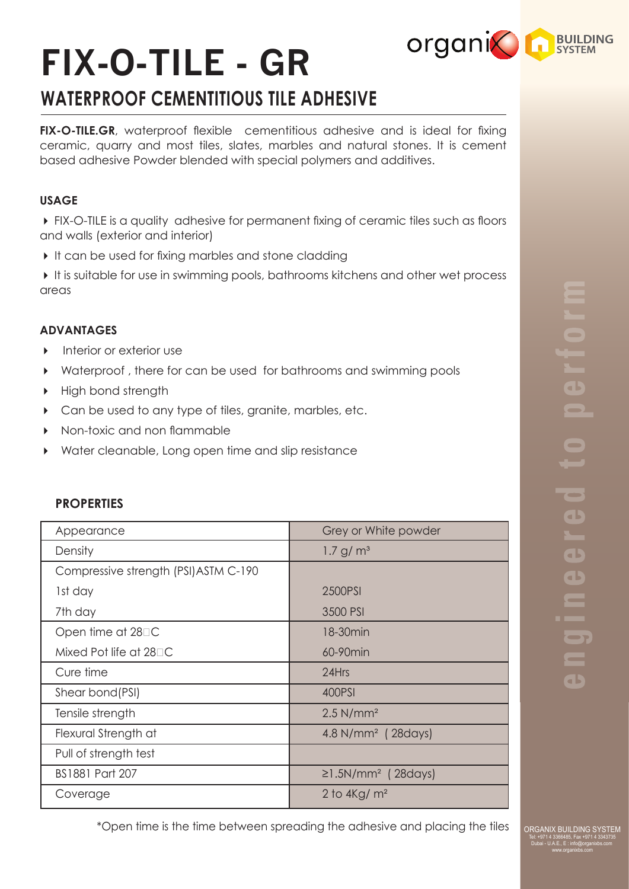# **FIX-O-TILE - GR**

# **WATERPROOF CEMENTITIOUS TILE ADHESIVE**

**FIX-O-TILE.GR**, waterproof flexible cementitious adhesive and is ideal for fixing ceramic, quarry and most tiles, slates, marbles and natural stones. It is cement based adhesive Powder blended with special polymers and additives.

### **USAGE**

 FIX-O-TILE is a quality adhesive for permanent fixing of ceramic tiles such as floors and walls (exterior and interior)

 $\blacktriangleright$  It can be used for fixing marbles and stone cladding

 It is suitable for use in swimming pools, bathrooms kitchens and other wet process areas

## **ADVANTAGES**

- **Interior or exterior use**
- Waterproof , there for can be used for bathrooms and swimming pools
- High bond strength
- ▶ Can be used to any type of tiles, granite, marbles, etc.
- Non-toxic and non flammable
- Water cleanable, Long open time and slip resistance

| Appearance                            | Grey or White powder                 |
|---------------------------------------|--------------------------------------|
| Density                               | 1.7 g/m <sup>3</sup>                 |
| Compressive strength (PSI) ASTM C-190 |                                      |
| 1st day                               | 2500PSI                              |
| 7th day                               | 3500 PSI                             |
| Open time at $28\Box C$               | 18-30 <sub>min</sub>                 |
| Mixed Pot life at $28\Box C$          | 60-90min                             |
| Cure time                             | 24Hrs                                |
| Shear bond(PSI)                       | 400PSI                               |
| Tensile strength                      | $2.5$ N/mm <sup>2</sup>              |
| Flexural Strength at                  | 4.8 N/mm <sup>2</sup> (28 days)      |
| Pull of strength test                 |                                      |
| <b>BS1881 Part 207</b>                | $\geq$ 1.5N/mm <sup>2</sup> (28days) |
| Coverage                              | 2 to $4\text{Kg/m}^2$                |

# **PROPERTIES**

 $\overline{\phantom{a}}$ T<br>O  $\blacksquare$  $\bigodot$  $\qquad \qquad \blacksquare$  $\overline{\phantom{a}}$  $\blacksquare$  $\overline{\phantom{a}}$  $\blacksquare$  $\overline{\phantom{a}}$  $\blacksquare$  $\blacksquare$ 

**organic RESILIPING** 

\*Open time is the time between spreading the adhesive and placing the tiles

ORGANIX BUILDING SYSTEI Tel: +971 4 3366485, Fax +971 4 3343735 Dubai - U.A.E., E : info@organixbs.com www.organixbs.com